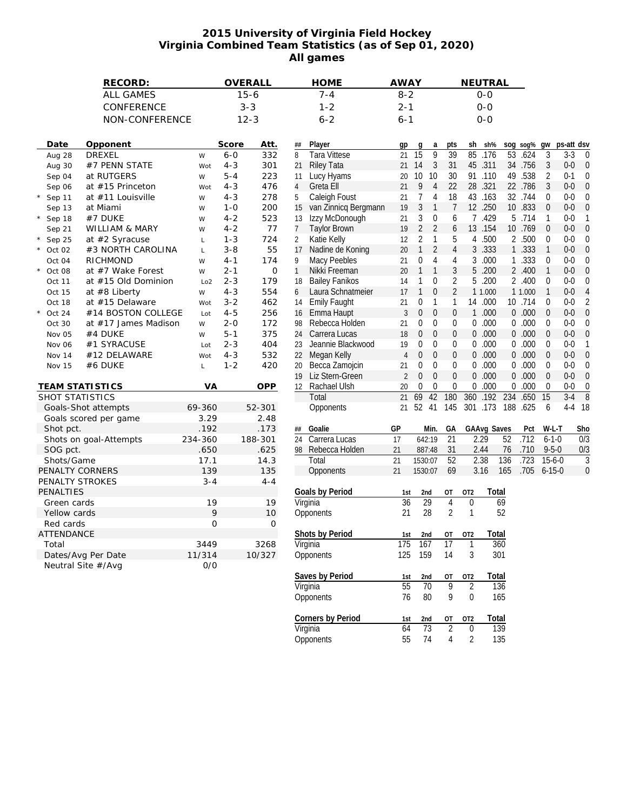## **2015 University of Virginia Field Hockey Virginia Combined Team Statistics (as of Sep 01, 2020) All games**

|                  |                   | RECORD:                |                 |         | OVERALL |              | <b>HOME</b>                        | <b>AWAY</b>          |                                                |                   |                 | NEUTRAL      |          |                |                             |                  |                  |
|------------------|-------------------|------------------------|-----------------|---------|---------|--------------|------------------------------------|----------------------|------------------------------------------------|-------------------|-----------------|--------------|----------|----------------|-----------------------------|------------------|------------------|
| <b>ALL GAMES</b> |                   |                        | $15 - 6$        |         |         | $7 - 4$      |                                    | $8 - 2$              |                                                | $O-O$             |                 |              |          |                |                             |                  |                  |
| CONFERENCE       |                   |                        | $3 - 3$         |         |         | $1 - 2$      |                                    | $2 - 1$              |                                                | $O-O$             |                 |              |          |                |                             |                  |                  |
| NON-CONFERENCE   |                   |                        | $12 - 3$        |         |         | $6 - 2$      |                                    | 6-1                  |                                                | $0 - 0$           |                 |              |          |                |                             |                  |                  |
|                  |                   |                        |                 |         |         |              |                                    |                      |                                                |                   |                 |              |          |                |                             |                  |                  |
|                  | Date              | Opponent               |                 | Score   | Att.    | ##           | Player                             | gp                   | g<br>a                                         | pts               | sh              | sh%          |          | sog sog%       | gw                          | ps-att dsv       |                  |
|                  | Aug 28            | <b>DREXEL</b>          | W               | $6 - 0$ | 332     | 8            | <b>Tara Vittese</b>                | 21                   | 9<br>$\overline{15}$                           | $\overline{39}$   | 85              | .176         | 53       | .624           | 3                           | $3 - 3$          | 0                |
|                  | Aug 30            | #7 PENN STATE          | Wot             | $4 - 3$ | 301     | 21           | <b>Riley Tata</b>                  | 21                   | 3<br>14                                        | 31                | 45              | .311         |          | 34 .756        | 3                           | $0-0$            | 0                |
|                  | Sep 04            | at RUTGERS             | W               | $5 - 4$ | 223     | 11           | Lucy Hyams                         | 20                   | 10<br>10                                       | 30                |                 | 91 .110      |          | 49 .538        | 2                           | $0 - 1$          | 0                |
|                  | Sep 06            | at #15 Princeton       | Wot             | $4 - 3$ | 476     | 4            | Greta Ell                          | 21                   | 9<br>$\overline{4}$                            | 22                |                 | 28 .321      |          | 22 .786        | 3                           | $0 - 0$          | 0                |
|                  | Sep 11            | at #11 Louisville      | W               | $4 - 3$ | 278     | 5            | Caleigh Foust                      | 21                   | 7<br>4                                         | 18                |                 | 43 .163      |          | 32 .744        | $\mathbf{0}$                | $0-0$            |                  |
|                  | Sep 13            | at Miami               | W               | $1 - 0$ | 200     | 15           | van Zinnicq Bergmann               | 19                   | 3<br>$\mathbf{1}$                              | $\overline{7}$    |                 | 12 .250      |          | 10 .833        | $\mathbf{0}$                | $0-0$            | 0                |
|                  | Sep 18            | #7 DUKE                | W               | $4 - 2$ | 523     | 13           | Izzy McDonough                     | 21                   | 3<br>$\boldsymbol{0}$                          | 6                 | 7               | .429         |          | 5 .714         | 1                           | $0 - 0$          |                  |
|                  | Sep 21            | WILLIAM & MARY         | W               | $4 - 2$ | 77      | 7            | <b>Taylor Brown</b>                | 19                   | $\overline{2}$<br>$\overline{2}$               | 6                 |                 | 13 .154      |          | 10 .769        | $\theta$                    | $0-0$            |                  |
|                  | Sep 25            | at #2 Syracuse         | $\mathsf L$     | $1 - 3$ | 724     | 2            | Katie Kelly                        | 12                   | 2<br>1                                         | 5                 | 4               | .500         |          | 2 .500         | $\boldsymbol{0}$            | $0 - 0$          |                  |
|                  | $\star$<br>Oct 02 | #3 NORTH CAROLINA      | $\mathsf L$     | $3 - 8$ | 55      | 17           | Nadine de Koning                   | 20                   | $\overline{2}$<br>1                            | $\overline{4}$    | 3               | .333         |          | 1 .333         | $\mathbf{1}$                | $0 - 0$          |                  |
|                  | Oct 04            | RICHMOND               | W               | 4-1     | 174     | 9            | Macy Peebles                       | 21                   | $\overline{4}$<br>0                            | 4                 | 3               | .000         |          | 1 .333         | 0                           | $0-0$            |                  |
|                  | Oct 08            | at #7 Wake Forest      | W               | $2 - 1$ | 0       | $\mathbf{1}$ | Nikki Freeman                      | 20                   | 1<br>$\mathbf{1}$                              | 3                 | 5               | .200         |          | 2 .400         | $\mathbf{1}$                | $0-0$            | 0                |
|                  | Oct 11            | at #15 Old Dominion    | Lo <sub>2</sub> | $2 - 3$ | 179     | 18           | <b>Bailey Fanikos</b>              | 14                   | 0<br>1                                         | $\overline{2}$    | 5               | .200         |          | 2 .400         | $\boldsymbol{0}$            | $0-0$            |                  |
|                  | Oct 15            | at #8 Liberty          | W               | $4 - 3$ | 554     | 6            | Laura Schnatmeier                  | 17                   | $\boldsymbol{0}$<br>1                          | $\overline{2}$    |                 | 1 1.000      |          | 1 1.000        | $\mathbf{1}$                | $0 - 0$          |                  |
|                  | Oct 18            | at #15 Delaware        | Wot             | $3 - 2$ | 462     | 14           | <b>Emily Faught</b>                | 21                   | 0<br>1                                         | 1                 | 14              | .000         |          | 10 .714        | $\mathbf 0$                 | $0-0$            |                  |
|                  | Oct 24            | #14 BOSTON COLLEGE     |                 | $4 - 5$ | 256     | 16           | Emma Haupt                         | 3                    | 0<br>$\mathbf{0}$                              | $\boldsymbol{0}$  | $\mathbf{1}$    | .000         |          | 0.000          | $\mathbf{0}$                | $0 - 0$          | $\Omega$         |
|                  |                   | at #17 James Madison   | Lot             | $2 - 0$ | 172     | 98           | Rebecca Holden                     | 21                   | 0<br>$\mathbf 0$                               | 0                 | 0               | .000         |          | 0.000          | $\mathbf{0}$                | $0 - 0$          |                  |
|                  | Oct 30            |                        | W               |         |         |              |                                    |                      | $\mathbf{0}$                                   |                   |                 | .000         |          | 0.000          | $\mathbf{0}$                |                  |                  |
|                  | Nov 05            | #4 DUKE                | W               | $5 - 1$ | 375     | 24           | Carrera Lucas<br>Jeannie Blackwood | 18                   | 0<br>$\mathbf 0$                               | $\boldsymbol{0}$  | $\overline{0}$  |              |          |                | $\mathbf{0}$                | $0 - 0$          | 0                |
|                  | Nov 06            | #1 SYRACUSE            | Lot             | $2 - 3$ | 404     | 23           |                                    | 19                   | 0                                              | 0                 | 0               | .000         |          | 0.000          |                             | $0 - 0$          |                  |
|                  | Nov 14            | #12 DELAWARE           | Wot             | $4 - 3$ | 532     | 22           | Megan Kelly                        | 4                    | 0<br>$\mathbf{0}$                              | 0                 | 0               | .000         |          | 0.000          | $\mathbf{0}$                | $0-0$            | $\mathbf 0$      |
|                  | <b>Nov 15</b>     | #6 DUKE                | $\mathsf{L}$    | $1 - 2$ | 420     | 20           | Becca Zamojcin                     | 21                   | 0<br>$\mathbf 0$<br>$\overline{0}$<br>$\theta$ | 0<br>$\mathbf{0}$ | 0<br>$\Omega$   | .000<br>.000 |          | 0.000<br>0.000 | $\mathbf 0$<br>$\mathbf{0}$ | $0 - 0$          | 0                |
|                  |                   | TEAM STATI STICS       | VA              |         | OPP     | 19<br>12     | Liz Stern-Green<br>Rachael Ulsh    | $\overline{2}$<br>20 | $\mathbf 0$<br>0                               | 0                 | 0               | .000         |          | 0.000          | 0                           | $0 - 0$<br>$0-0$ | 0<br>0           |
|                  | SHOT STATISTICS   |                        |                 |         |         |              | Total                              | 21                   | 69<br>42                                       | 180               | 360             | .192         | 234      | .650           | 15                          | $3-4$            | 8                |
|                  |                   | Goals-Shot attempts    | 69-360          |         | 52-301  |              | Opponents                          |                      | 21 52 41                                       | 145               |                 | 301 .173     | 188 .625 |                | 6                           |                  | 4-4 18           |
|                  |                   | Goals scored per game  | 3.29            |         | 2.48    |              |                                    |                      |                                                |                   |                 |              |          |                |                             |                  |                  |
|                  | Shot pct.         |                        | .192            |         | .173    | ##           | Goalie                             | GP                   | Min.                                           | GА                |                 | GAAvg Saves  |          | Pct            | W-L-T                       |                  | Sho              |
|                  |                   | Shots on goal-Attempts | 234-360         |         | 188-301 | 24           | Carrera Lucas                      | 17                   | 642:19                                         | $\overline{21}$   |                 | 2.29         | 52       | .712           | $6 - 1 - 0$                 |                  | $\overline{0/3}$ |
|                  | SOG pct.          |                        | .650            |         | .625    |              | 98 Rebecca Holden                  | 21                   | 887:48                                         | 31                |                 | 2.44         | 76       | .710           | $9 - 5 - 0$                 |                  | 0/3              |
|                  | Shots/Game        |                        | 17.1            |         | 14.3    |              | Total                              | 21                   | 1530:07                                        | 52                |                 | 2.38         | 136      | .723           | $15-6-0$                    |                  | 3                |
|                  | PENALTY CORNERS   |                        | 139             |         | 135     |              | Opponents                          | 21                   | 1530:07                                        | 69                |                 | 3.16         | 165      | .705           | $6 - 15 - 0$                |                  | 0                |
|                  | PENALTY STROKES   |                        | $3 - 4$         |         | $4 - 4$ |              |                                    |                      |                                                |                   |                 |              |          |                |                             |                  |                  |
|                  | PENALTIES         |                        |                 |         |         |              | Goals by Period                    | 1st                  | 2nd                                            | ОT                | OT <sub>2</sub> | Total        |          |                |                             |                  |                  |
|                  | Green cards       |                        | 19              |         | 19      |              | Virginia                           | 36                   | 29                                             | 4                 | 0               |              | 69       |                |                             |                  |                  |
|                  | Yellow cards      |                        | 9               |         | 10      |              | Opponents                          | 21                   | 28                                             | $\overline{2}$    | 1               |              | 52       |                |                             |                  |                  |
|                  | Red cards         |                        | 0               |         | 0       |              |                                    |                      |                                                |                   |                 |              |          |                |                             |                  |                  |
|                  | ATTENDANCE        |                        |                 |         |         |              | Shots by Period                    | 1st                  | 2 <sub>nd</sub>                                | ОT                | OT <sub>2</sub> | Total        |          |                |                             |                  |                  |
|                  | Total             |                        | 3449            |         | 3268    |              | Virginia                           | 175                  | 167                                            | 17                | 1               |              | 360      |                |                             |                  |                  |
|                  |                   | Dates/Avg Per Date     | 11/314          |         | 10/327  |              | Opponents                          | 125                  | 159                                            | 14                | 3               | 301          |          |                |                             |                  |                  |
|                  |                   | Neutral Site #/Avg     | 0/0             |         |         |              |                                    |                      |                                                |                   |                 |              |          |                |                             |                  |                  |
|                  |                   |                        |                 |         |         |              | Saves by Period                    | 1st                  | 2nd                                            | OT                | OT <sub>2</sub> | Total        |          |                |                             |                  |                  |
|                  |                   |                        |                 |         |         | Virginia     | 55                                 | $\overline{70}$      | $\overline{9}$                                 | $\overline{2}$    | 136             |              |          |                |                             |                  |                  |
|                  |                   |                        |                 |         |         |              | Opponents                          | 76                   | 80                                             | 9                 | 0               |              | 165      |                |                             |                  |                  |
|                  |                   |                        |                 |         |         |              | Corners by Period                  | 1st                  | 2nd                                            | ОT                | OT <sub>2</sub> | Total        |          |                |                             |                  |                  |
|                  |                   |                        |                 |         |         |              | Virginia                           | 64                   | 73                                             | $\overline{2}$    | $\mathbf{0}$    | 139          |          |                |                             |                  |                  |
|                  |                   |                        |                 |         |         |              |                                    |                      |                                                |                   |                 |              |          |                |                             |                  |                  |

Opponents 55 74 4 2 135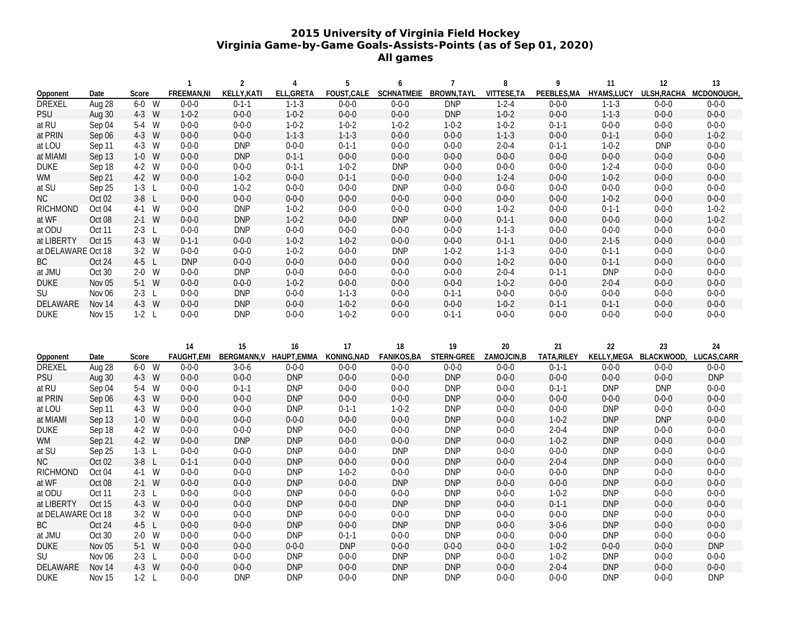## **2015 University of Virginia Field Hockey Virginia Game-by-Game Goals-Assists-Points (as of Sep 01, 2020) All games**

|                    |               |            | 1                        | $\overline{2}$ | 4                             | 5                | 6                                  | $\overline{7}$   | 8                     | 9                 | 11                      | 12                           | 13                |
|--------------------|---------------|------------|--------------------------|----------------|-------------------------------|------------------|------------------------------------|------------------|-----------------------|-------------------|-------------------------|------------------------------|-------------------|
| Opponent           | Date          | Score      | FREEMAN, NI              | KELLY, KATI    | ELL, GRETA                    |                  | FOUST, CALE SCHNATMEIE BROWN, TAYL |                  | VITTESE, TA           |                   | PEEBLES, MA HYAMS, LUCY | ULSH, RACHA MCDONOUGH,       |                   |
| <b>DREXEL</b>      | Aug 28        | W<br>$6-0$ | $0 - 0 - 0$              | $0 - 1 - 1$    | $1 - 1 - 3$                   | $0 - 0 - 0$      | $0 - 0 - 0$                        | <b>DNP</b>       | $1 - 2 - 4$           | $0 - 0 - 0$       | $1 - 1 - 3$             | $0 - 0 - 0$                  | $0 - 0 - 0$       |
| <b>PSU</b>         | Aug 30        | 4-3 W      | $1 - 0 - 2$              | $0 - 0 - 0$    | $1 - 0 - 2$                   | $0 - 0 - 0$      | $0 - 0 - 0$                        | <b>DNP</b>       | $1 - 0 - 2$           | $0 - 0 - 0$       | $1 - 1 - 3$             | $0 - 0 - 0$                  | $0 - 0 - 0$       |
| at RU              | Sep 04        | 5-4 W      | $0 - 0 - 0$              | $0 - 0 - 0$    | $1 - 0 - 2$                   | $1 - 0 - 2$      | $1 - 0 - 2$                        | $1 - 0 - 2$      | $1 - 0 - 2$           | $0 - 1 - 1$       | $0 - 0 - 0$             | $0 - 0 - 0$                  | $0 - 0 - 0$       |
| at PRIN            | Sep 06        | 4-3 W      | $0 - 0 - 0$              | $0 - 0 - 0$    | $1 - 1 - 3$                   | $1 - 1 - 3$      | $0 - 0 - 0$                        | $0 - 0 - 0$      | $1 - 1 - 3$           | $0 - 0 - 0$       | $0 - 1 - 1$             | $0 - 0 - 0$                  | $1 - 0 - 2$       |
| at LOU             | Sep 11        | 4-3 W      | $0 - 0 - 0$              | <b>DNP</b>     | $0 - 0 - 0$                   | $0 - 1 - 1$      | $0 - 0 - 0$                        | $0 - 0 - 0$      | $2 - 0 - 4$           | $0 - 1 - 1$       | $1 - 0 - 2$             | <b>DNP</b>                   | $0 - 0 - 0$       |
| at MIAMI           | Sep 13        | $1-0$ W    | $0 - 0 - 0$              | <b>DNP</b>     | $0 - 1 - 1$                   | $0 - 0 - 0$      | $0 - 0 - 0$                        | $0 - 0 - 0$      | $0 - 0 - 0$           | $0 - 0 - 0$       | $0 - 0 - 0$             | $0 - 0 - 0$                  | $0 - 0 - 0$       |
| <b>DUKE</b>        | Sep 18        | 4-2 W      | $0 - 0 - 0$              | $0 - 0 - 0$    | $0 - 1 - 1$                   | $1 - 0 - 2$      | <b>DNP</b>                         | $0 - 0 - 0$      | $0 - 0 - 0$           | $0 - 0 - 0$       | $1 - 2 - 4$             | $0 - 0 - 0$                  | $0 - 0 - 0$       |
| WM                 | Sep 21        | 4-2 W      | $0 - 0 - 0$              | $1 - 0 - 2$    | $0 - 0 - 0$                   | $0 - 1 - 1$      | $0 - 0 - 0$                        | $0 - 0 - 0$      | $1 - 2 - 4$           | $0 - 0 - 0$       | $1 - 0 - 2$             | $0 - 0 - 0$                  | $0 - 0 - 0$       |
| at SU              | Sep 25        | $1-3$ L    | $0 - 0 - 0$              | $1 - 0 - 2$    | $0 - 0 - 0$                   | $0 - 0 - 0$      | <b>DNP</b>                         | $0 - 0 - 0$      | $0 - 0 - 0$           | $0 - 0 - 0$       | $0 - 0 - 0$             | $0 - 0 - 0$                  | $0 - 0 - 0$       |
| NC                 | Oct 02        | $3-8$ L    | $0 - 0 - 0$              | $0 - 0 - 0$    | $0 - 0 - 0$                   | $0 - 0 - 0$      | $0 - 0 - 0$                        | $0 - 0 - 0$      | $0 - 0 - 0$           | $0 - 0 - 0$       | $1 - 0 - 2$             | $0 - 0 - 0$                  | $0 - 0 - 0$       |
| <b>RICHMOND</b>    | Oct 04        | 4-1 W      | $0 - 0 - 0$              | <b>DNP</b>     | $1 - 0 - 2$                   | $0 - 0 - 0$      | $0 - 0 - 0$                        | $0 - 0 - 0$      | $1 - 0 - 2$           | $0 - 0 - 0$       | $0 - 1 - 1$             | $0 - 0 - 0$                  | $1 - 0 - 2$       |
| at WF              | Oct 08        | $2-1$ W    | $0 - 0 - 0$              | <b>DNP</b>     | $1 - 0 - 2$                   | $0 - 0 - 0$      | <b>DNP</b>                         | $0 - 0 - 0$      | $0 - 1 - 1$           | $0 - 0 - 0$       | $0 - 0 - 0$             | $0 - 0 - 0$                  | $1 - 0 - 2$       |
| at ODU             | Oct 11        | $2-3$ L    | $0 - 0 - 0$              | <b>DNP</b>     | $0 - 0 - 0$                   | $0 - 0 - 0$      | $0 - 0 - 0$                        | $0 - 0 - 0$      | $1 - 1 - 3$           | $0 - 0 - 0$       | $0 - 0 - 0$             | $0 - 0 - 0$                  | $0 - 0 - 0$       |
| at LIBERTY         | Oct 15        | 4-3 W      | $0 - 1 - 1$              | $0 - 0 - 0$    | $1 - 0 - 2$                   | $1 - 0 - 2$      | $0 - 0 - 0$                        | $0 - 0 - 0$      | $0 - 1 - 1$           | $0 - 0 - 0$       | $2 - 1 - 5$             | $0 - 0 - 0$                  | $0 - 0 - 0$       |
| at DELAWARE Oct 18 |               | $3-2$ W    | $0 - 0 - 0$              | $0 - 0 - 0$    | $1 - 0 - 2$                   | $0 - 0 - 0$      | <b>DNP</b>                         | $1 - 0 - 2$      | $1 - 1 - 3$           | $0 - 0 - 0$       | $0 - 1 - 1$             | $0 - 0 - 0$                  | $0 - 0 - 0$       |
| ВC                 | Oct 24        | $4-5$ L    | <b>DNP</b>               | $0 - 0 - 0$    | $0 - 0 - 0$                   | $0 - 0 - 0$      | $0 - 0 - 0$                        | $0 - 0 - 0$      | $1 - 0 - 2$           | $0 - 0 - 0$       | $0 - 1 - 1$             | $0 - 0 - 0$                  | $0 - 0 - 0$       |
| at JMU             | Oct 30        | $2-0$ W    | $0 - 0 - 0$              | <b>DNP</b>     | $0 - 0 - 0$                   | $0 - 0 - 0$      | $0 - 0 - 0$                        | $0 - 0 - 0$      | $2 - 0 - 4$           | $0 - 1 - 1$       | <b>DNP</b>              | $0 - 0 - 0$                  | $0 - 0 - 0$       |
| <b>DUKE</b>        | Nov 05        | $5-1$ W    | $0 - 0 - 0$              | $0 - 0 - 0$    | $1 - 0 - 2$                   | $0 - 0 - 0$      | $0 - 0 - 0$                        | $0 - 0 - 0$      | $1 - 0 - 2$           | $0 - 0 - 0$       | $2 - 0 - 4$             | $0 - 0 - 0$                  | $0 - 0 - 0$       |
| SU                 | Nov 06        | $2-3$ L    | $0 - 0 - 0$              | <b>DNP</b>     | $0 - 0 - 0$                   | $1 - 1 - 3$      | $0 - 0 - 0$                        | $0 - 1 - 1$      | $0 - 0 - 0$           | $0 - 0 - 0$       | $0 - 0 - 0$             | $0 - 0 - 0$                  | $0 - 0 - 0$       |
| DELAWARE           | Nov 14        | 4-3 W      | $0 - 0 - 0$              | <b>DNP</b>     | $0 - 0 - 0$                   | $1 - 0 - 2$      | $0 - 0 - 0$                        | $0 - 0 - 0$      | $1 - 0 - 2$           | $0 - 1 - 1$       | $0 - 1 - 1$             | $0 - 0 - 0$                  | $0 - 0 - 0$       |
| <b>DUKE</b>        | Nov 15        | $1-2$ L    | $0 - 0 - 0$              | <b>DNP</b>     | $0 - 0 - 0$                   | $1 - 0 - 2$      | $0 - 0 - 0$                        | $0 - 1 - 1$      | $0 - 0 - 0$           | $0 - 0 - 0$       | $0 - 0 - 0$             | $0 - 0 - 0$                  | $0 - 0 - 0$       |
| Opponent           | Date          | Score      | 14<br><b>FAUGHT, EMI</b> | 15             | 16<br>BERGMANN, V HAUPT, EMMA | 17<br>KONING,NAD | 18<br>FANIKOS, BA                  | 19<br>STERN-GREE | $20\,$<br>ZAMOJCIN, B | 21<br>TATA, RILEY | $22\,$                  | 23<br>KELLY, MEGA BLACKWOOD, | 24<br>LUCAS, CARR |
| <b>DREXEL</b>      | Aug 28        | $6-0$<br>W | $0 - 0 - 0$              | $3 - 0 - 6$    | $0 - 0 - 0$                   | $0 - 0 - 0$      | $0 - 0 - 0$                        | $0 - 0 - 0$      | $0 - 0 - 0$           | $0 - 1 - 1$       | $0 - 0 - 0$             | $0 - 0 - 0$                  | $0 - 0 - 0$       |
| PSU                | Aug 30        | 4-3 W      | $0 - 0 - 0$              | $0 - 0 - 0$    | <b>DNP</b>                    | $0 - 0 - 0$      | $0 - 0 - 0$                        | <b>DNP</b>       | $0 - 0 - 0$           | $0 - 0 - 0$       | $0 - 0 - 0$             | $0 - 0 - 0$                  | <b>DNP</b>        |
| at RU              | Sep 04        | 5-4 W      | $0 - 0 - 0$              | $0 - 1 - 1$    | <b>DNP</b>                    | $0 - 0 - 0$      | $0 - 0 - 0$                        | <b>DNP</b>       | $0 - 0 - 0$           | $0 - 1 - 1$       | <b>DNP</b>              | <b>DNP</b>                   | $0 - 0 - 0$       |
| at PRIN            | Sep 06        | 4-3 W      | $0 - 0 - 0$              | $0 - 0 - 0$    | <b>DNP</b>                    | $0 - 0 - 0$      | $0 - 0 - 0$                        | <b>DNP</b>       | $0 - 0 - 0$           | $0 - 0 - 0$       | $0 - 0 - 0$             | $0 - 0 - 0$                  | $0 - 0 - 0$       |
| at LOU             | Sep 11        | 4-3 W      | $0 - 0 - 0$              | $0 - 0 - 0$    | <b>DNP</b>                    | $0 - 1 - 1$      | $1 - 0 - 2$                        | <b>DNP</b>       | $0 - 0 - 0$           | $0 - 0 - 0$       | <b>DNP</b>              | $0 - 0 - 0$                  | $0 - 0 - 0$       |
| at MIAMI           | Sep 13        | $1-0$ W    | $0 - 0 - 0$              | $0 - 0 - 0$    | $0 - 0 - 0$                   | $0 - 0 - 0$      | $0 - 0 - 0$                        | <b>DNP</b>       | $0 - 0 - 0$           | $1 - 0 - 2$       | <b>DNP</b>              | <b>DNP</b>                   | $0 - 0 - 0$       |
| <b>DUKE</b>        | Sep 18        | 4-2 W      | $0 - 0 - 0$              | $0 - 0 - 0$    | <b>DNP</b>                    | $0 - 0 - 0$      | $0 - 0 - 0$                        | <b>DNP</b>       | $0 - 0 - 0$           | $2 - 0 - 4$       | <b>DNP</b>              | $0 - 0 - 0$                  | $0 - 0 - 0$       |
| WM                 | Sep 21        | 4-2 W      | $0 - 0 - 0$              | <b>DNP</b>     | <b>DNP</b>                    | $0 - 0 - 0$      | $0 - 0 - 0$                        | <b>DNP</b>       | $0 - 0 - 0$           | $1 - 0 - 2$       | <b>DNP</b>              | $0 - 0 - 0$                  | $0 - 0 - 0$       |
| at SU              | Sep 25        | $1-3$ L    | $0 - 0 - 0$              | $0 - 0 - 0$    | <b>DNP</b>                    | $0 - 0 - 0$      | <b>DNP</b>                         | <b>DNP</b>       | $0 - 0 - 0$           | $0 - 0 - 0$       | <b>DNP</b>              | $0 - 0 - 0$                  | $0 - 0 - 0$       |
| NC                 | Oct 02        | $3-8$ L    | $0 - 1 - 1$              | $0 - 0 - 0$    | <b>DNP</b>                    | $0 - 0 - 0$      | $0 - 0 - 0$                        | <b>DNP</b>       | $0 - 0 - 0$           | $2 - 0 - 4$       | <b>DNP</b>              | $0 - 0 - 0$                  | $0 - 0 - 0$       |
| <b>RICHMOND</b>    | Oct 04        | 4-1 W      | $0 - 0 - 0$              | $0 - 0 - 0$    | <b>DNP</b>                    | $1 - 0 - 2$      | $0 - 0 - 0$                        | <b>DNP</b>       | $0 - 0 - 0$           | $0 - 0 - 0$       | <b>DNP</b>              | $0 - 0 - 0$                  | $0 - 0 - 0$       |
| at WF              | Oct 08        | $2-1$ W    | $0 - 0 - 0$              | $0 - 0 - 0$    | <b>DNP</b>                    | $0 - 0 - 0$      | <b>DNP</b>                         | <b>DNP</b>       | $0 - 0 - 0$           | $0 - 0 - 0$       | <b>DNP</b>              | $0 - 0 - 0$                  | $0 - 0 - 0$       |
| at ODU             | Oct 11        | $2-3$ L    | $0 - 0 - 0$              | $0 - 0 - 0$    | <b>DNP</b>                    | $0 - 0 - 0$      | $0 - 0 - 0$                        | <b>DNP</b>       | $0 - 0 - 0$           | $1 - 0 - 2$       | <b>DNP</b>              | $0 - 0 - 0$                  | $0 - 0 - 0$       |
| at LIBERTY         | Oct 15        | 4-3 W      | $0 - 0 - 0$              | $0 - 0 - 0$    | <b>DNP</b>                    | $0 - 0 - 0$      | <b>DNP</b>                         | <b>DNP</b>       | $0 - 0 - 0$           | $0 - 1 - 1$       | <b>DNP</b>              | $0 - 0 - 0$                  | $0 - 0 - 0$       |
| at DELAWARE Oct 18 |               | $3-2$ W    | $0 - 0 - 0$              | $0 - 0 - 0$    | <b>DNP</b>                    | $0 - 0 - 0$      | $0 - 0 - 0$                        | <b>DNP</b>       | $0 - 0 - 0$           | $0 - 0 - 0$       | <b>DNP</b>              | $0 - 0 - 0$                  | $0 - 0 - 0$       |
| ВC                 | Oct 24        | $4-5$ L    | $0 - 0 - 0$              | $0 - 0 - 0$    | <b>DNP</b>                    | $0 - 0 - 0$      | <b>DNP</b>                         | <b>DNP</b>       | $0 - 0 - 0$           | $3 - 0 - 6$       | <b>DNP</b>              | $0 - 0 - 0$                  | $0 - 0 - 0$       |
| at JMU             | Oct 30        | $2-0$ W    | $0 - 0 - 0$              | $0 - 0 - 0$    | <b>DNP</b>                    | $0 - 1 - 1$      | $0 - 0 - 0$                        | <b>DNP</b>       | $0 - 0 - 0$           | $0 - 0 - 0$       | <b>DNP</b>              | $0 - 0 - 0$                  | $0 - 0 - 0$       |
| <b>DUKE</b>        | Nov 05        | $5-1$ W    | $0 - 0 - 0$              | $0 - 0 - 0$    | $0 - 0 - 0$                   | <b>DNP</b>       | $0 - 0 - 0$                        | $0 - 0 - 0$      | $0 - 0 - 0$           | $1 - 0 - 2$       | $0 - 0 - 0$             | $0 - 0 - 0$                  | <b>DNP</b>        |
| SU                 | Nov 06        | $2-3$ L    | $0 - 0 - 0$              | $0 - 0 - 0$    | <b>DNP</b>                    | $0 - 0 - 0$      | <b>DNP</b>                         | <b>DNP</b>       | $0 - 0 - 0$           | $1 - 0 - 2$       | <b>DNP</b>              | $0 - 0 - 0$                  | $0 - 0 - 0$       |
| DELAWARE           | Nov 14        | 4-3 W      | $0 - 0 - 0$              | $0 - 0 - 0$    | <b>DNP</b>                    | $0 - 0 - 0$      | <b>DNP</b>                         | <b>DNP</b>       | $0 - 0 - 0$           | $2 - 0 - 4$       | <b>DNP</b>              | $0 - 0 - 0$                  | $0 - 0 - 0$       |
| <b>DUKE</b>        | <b>Nov 15</b> | $1-2$ L    | $0 - 0 - 0$              | <b>DNP</b>     | <b>DNP</b>                    | $0 - 0 - 0$      | <b>DNP</b>                         | <b>DNP</b>       | $0 - 0 - 0$           | $0 - 0 - 0$       | <b>DNP</b>              | $0 - 0 - 0$                  | <b>DNP</b>        |